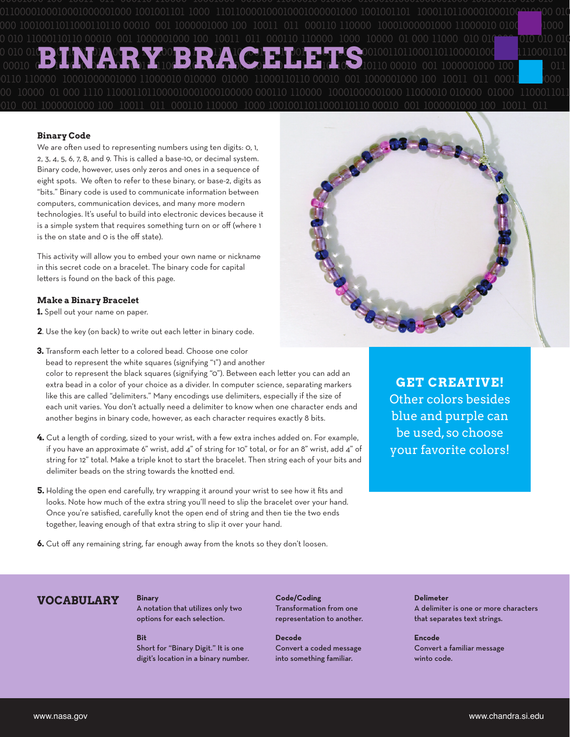10110 00010 001 1000001000 100 10011 011 000110 110000 10001000001000 11000010 010 011 000110 110000 1000 10000 01 000 11000 010 010 100 10011 11000110 001 1000001000 100  $011$ 11000010 010000 01000 11000110110 00010 001 1000001000 100011011000010001000100000 000110 110000 1100011011 10001000001000 11000010 010000

### **Binary Code**

We are often used to representing numbers using ten digits: 0, 1, 2, 3, 4, 5, 6, 7, 8, and 9. This is called a base-10, or decimal system. Binary code, however, uses only zeros and ones in a sequence of eight spots. We often to refer to these binary, or base-2, digits as "bits." Binary code is used to communicate information between computers, communication devices, and many more modern technologies. It's useful to build into electronic devices because it is a simple system that requires something turn on or off (where 1 is the on state and O is the off state).

This activity will allow you to embed your own name or nickname in this secret code on a bracelet. The binary code for capital letters is found on the back of this page.

#### **Make a Binary Bracelet**

1. Spell out your name on paper.

2. Use the key (on back) to write out each letter in binary code.



3. Transform each letter to a colored bead. Choose one color bead to represent the white squares (signifying "1") and another color to represent the black squares (signifying "O"). Between each letter you can add an extra bead in a color of your choice as a divider. In computer science, separating markers like this are called "delimiters." Many encodings use delimiters, especially if the size of

each unit varies. You don't actually need a delimiter to know when one character ends and another begins in binary code, however, as each character requires exactly 8 bits.

- 4. Cut a length of cording, sized to your wrist, with a few extra inches added on. For example, if you have an approximate 6" wrist, add 4" of string for 10" total, or for an 8" wrist, add 4" of string for 12" total. Make a triple knot to start the bracelet. Then string each of your bits and delimiter beads on the string towards the knotted end.
- 5. Holding the open end carefully, try wrapping it around your wrist to see how it fits and looks. Note how much of the extra string you'll need to slip the bracelet over your hand. Once you're satisfied, carefully knot the open end of string and then tie the two ends together, leaving enough of that extra string to slip it over your hand.

**GET CREATIVE!** Other colors besides blue and purple can be used, so choose your favorite colors!

6. Cut off any remaining string, far enough away from the knots so they don't loosen.

# **VOCABULARY**

A notation that utilizes only two options for each selection.

### $R<sub>it</sub>$

**Binary** 

Short for "Binary Digit." It is one digit's location in a binary number. Code/Coding Transformation from one representation to another.

**Decode** Convert a coded message into something familiar.

## **Delimeter** A delimiter is one or more characters

that separates text strings.

**Encode** Convert a familiar message winto code.